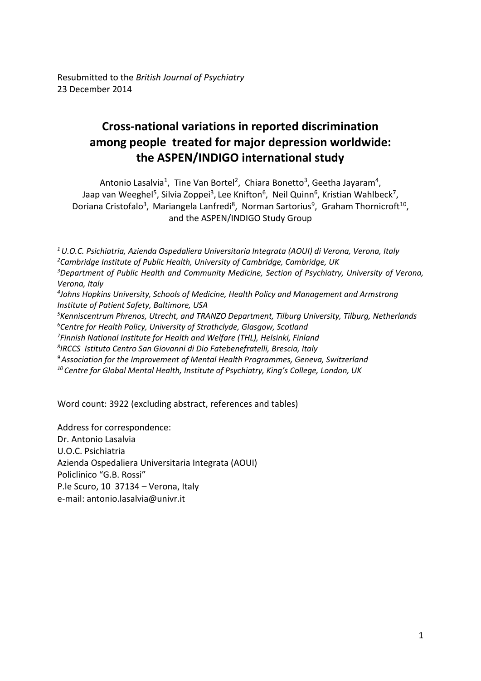# **Cross-national variations in reported discrimination among people treated for major depression worldwide: the ASPEN/INDIGO international study**

Antonio Lasalvia<sup>1</sup>, Tine Van Bortel<sup>2</sup>, Chiara Bonetto<sup>3</sup>, Geetha Jayaram<sup>4</sup>, Jaap van Weeghel<sup>5</sup>, Silvia Zoppei<sup>3</sup>, Lee Knifton<sup>6</sup>, Neil Quinn<sup>6</sup>, Kristian Wahlbeck<sup>7</sup>, Doriana Cristofalo<sup>3</sup>, Mariangela Lanfredi<sup>8</sup>, Norman Sartorius<sup>9</sup>, Graham Thornicroft<sup>10</sup>, and the ASPEN/INDIGO Study Group

*U.O.C. Psichiatria, Azienda Ospedaliera Universitaria Integrata (AOUI) di Verona, Verona, Italy Cambridge Institute of Public Health, University of Cambridge, Cambridge, UK Department of Public Health and Community Medicine, Section of Psychiatry, University of Verona, Verona, Italy Johns Hopkins University, Schools of Medicine, Health Policy and Management and Armstrong Institute of Patient Safety, Baltimore, USA Kenniscentrum Phrenos, Utrecht, and TRANZO Department, Tilburg University, Tilburg, Netherlands Centre for Health Policy, University of Strathclyde, Glasgow, Scotland Finnish National Institute for Health and Welfare (THL), Helsinki, Finland IRCCS Istituto Centro San Giovanni di Dio Fatebenefratelli, Brescia, Italy Association for the Improvement of Mental Health Programmes, Geneva, Switzerland Centre for Global Mental Health, Institute of Psychiatry, King's College, London, UK*

Word count: 3922 (excluding abstract, references and tables)

Address for correspondence: Dr. Antonio Lasalvia U.O.C. Psichiatria Azienda Ospedaliera Universitaria Integrata (AOUI) Policlinico "G.B. Rossi" P.le Scuro, 10 37134 – Verona, Italy e-mail: antonio.lasalvia@univr.it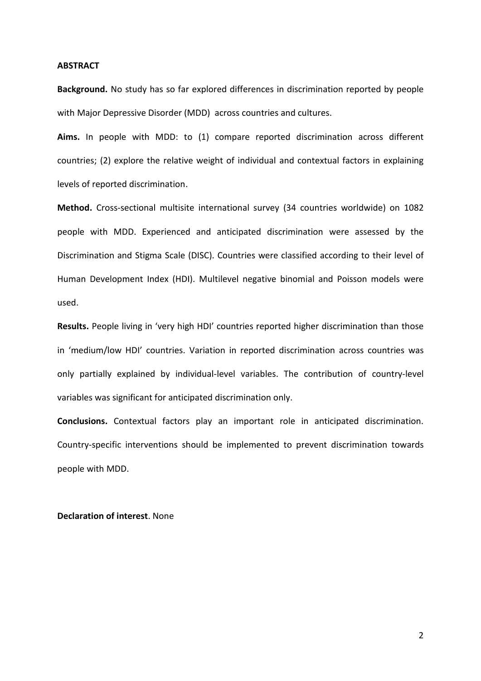### **ABSTRACT**

**Background.** No study has so far explored differences in discrimination reported by people with Major Depressive Disorder (MDD) across countries and cultures.

**Aims.** In people with MDD: to (1) compare reported discrimination across different countries; (2) explore the relative weight of individual and contextual factors in explaining levels of reported discrimination.

**Method.** Cross-sectional multisite international survey (34 countries worldwide) on 1082 people with MDD. Experienced and anticipated discrimination were assessed by the Discrimination and Stigma Scale (DISC). Countries were classified according to their level of Human Development Index (HDI). Multilevel negative binomial and Poisson models were used.

**Results.** People living in 'very high HDI' countries reported higher discrimination than those in 'medium/low HDI' countries. Variation in reported discrimination across countries was only partially explained by individual-level variables. The contribution of country-level variables was significant for anticipated discrimination only.

**Conclusions.** Contextual factors play an important role in anticipated discrimination. Country-specific interventions should be implemented to prevent discrimination towards people with MDD.

# **Declaration of interest**. None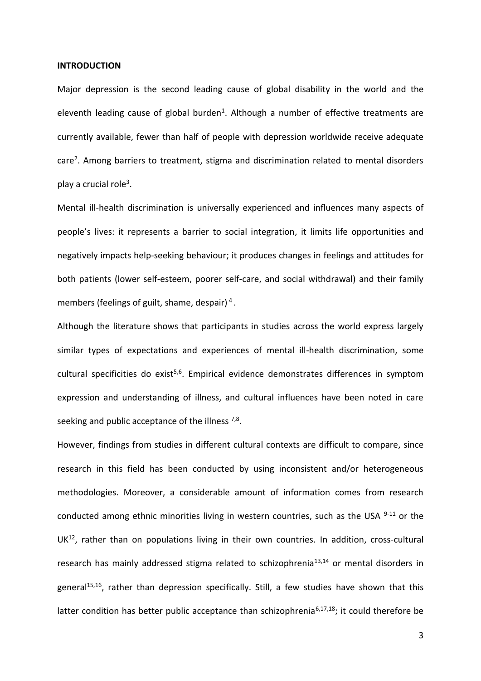#### **INTRODUCTION**

Major depression is the second leading cause of global disability in the world and the eleventh leading cause of global burden<sup>1</sup>. Although a number of effective treatments are currently available, fewer than half of people with depression worldwide receive adequate care<sup>2</sup>. Among barriers to treatment, stigma and discrimination related to mental disorders play a crucial role<sup>3</sup>.

Mental ill-health discrimination is universally experienced and influences many aspects of people's lives: it represents a barrier to social integration, it limits life opportunities and negatively impacts help-seeking behaviour; it produces changes in feelings and attitudes for both patients (lower self-esteem, poorer self-care, and social withdrawal) and their family members (feelings of guilt, shame, despair)<sup>4</sup>.

Although the literature shows that participants in studies across the world express largely similar types of expectations and experiences of mental ill-health discrimination, some cultural specificities do exist<sup>5,6</sup>. Empirical evidence demonstrates differences in symptom expression and understanding of illness, and cultural influences have been noted in care seeking and public acceptance of the illness <sup>7,8</sup>.

However, findings from studies in different cultural contexts are difficult to compare, since research in this field has been conducted by using inconsistent and/or heterogeneous methodologies. Moreover, a considerable amount of information comes from research conducted among ethnic minorities living in western countries, such as the USA  $9-11$  or the UK<sup>12</sup>, rather than on populations living in their own countries. In addition, cross-cultural research has mainly addressed stigma related to schizophrenia<sup>13,14</sup> or mental disorders in general<sup>15,16</sup>, rather than depression specifically. Still, a few studies have shown that this latter condition has better public acceptance than schizophrenia<sup>6,17,18</sup>; it could therefore be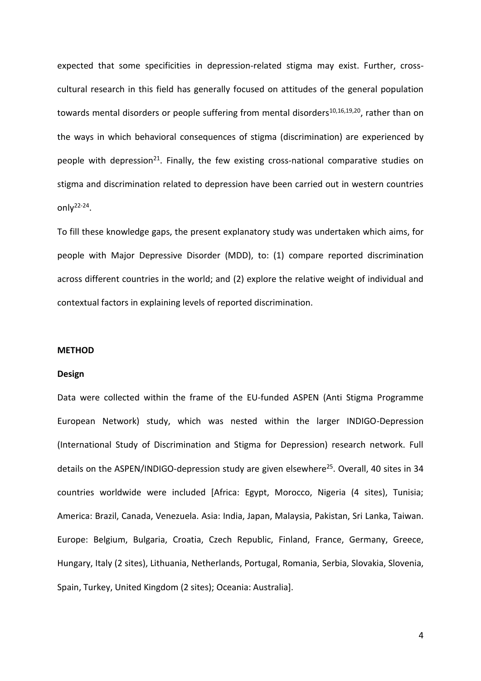expected that some specificities in depression-related stigma may exist. Further, crosscultural research in this field has generally focused on attitudes of the general population towards mental disorders or people suffering from mental disorders<sup>10,16,19,20</sup>, rather than on the ways in which behavioral consequences of stigma (discrimination) are experienced by people with depression<sup>21</sup>. Finally, the few existing cross-national comparative studies on stigma and discrimination related to depression have been carried out in western countries only $2^{2-24}$ .

To fill these knowledge gaps, the present explanatory study was undertaken which aims, for people with Major Depressive Disorder (MDD), to: (1) compare reported discrimination across different countries in the world; and (2) explore the relative weight of individual and contextual factors in explaining levels of reported discrimination.

#### **METHOD**

#### **Design**

Data were collected within the frame of the EU-funded ASPEN (Anti Stigma Programme European Network) study, which was nested within the larger INDIGO-Depression (International Study of Discrimination and Stigma for Depression) research network. Full details on the ASPEN/INDIGO-depression study are given elsewhere<sup>25</sup>. Overall, 40 sites in 34 countries worldwide were included [Africa: Egypt, Morocco, Nigeria (4 sites), Tunisia; America: Brazil, Canada, Venezuela. Asia: India, Japan, Malaysia, Pakistan, Sri Lanka, Taiwan. Europe: Belgium, Bulgaria, Croatia, Czech Republic, Finland, France, Germany, Greece, Hungary, Italy (2 sites), Lithuania, Netherlands, Portugal, Romania, Serbia, Slovakia, Slovenia, Spain, Turkey, United Kingdom (2 sites); Oceania: Australia].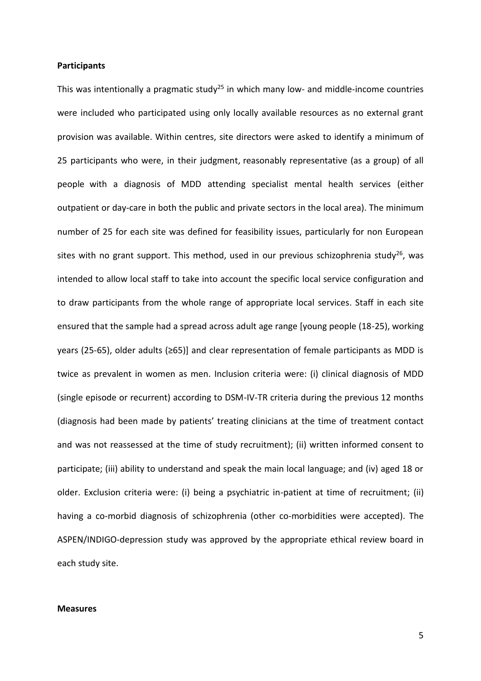# **Participants**

This was intentionally a pragmatic study<sup>25</sup> in which many low- and middle-income countries were included who participated using only locally available resources as no external grant provision was available. Within centres, site directors were asked to identify a minimum of 25 participants who were, in their judgment, reasonably representative (as a group) of all people with a diagnosis of MDD attending specialist mental health services (either outpatient or day-care in both the public and private sectors in the local area). The minimum number of 25 for each site was defined for feasibility issues, particularly for non European sites with no grant support. This method, used in our previous schizophrenia study<sup>26</sup>, was intended to allow local staff to take into account the specific local service configuration and to draw participants from the whole range of appropriate local services. Staff in each site ensured that the sample had a spread across adult age range [young people (18-25), working years (25-65), older adults (≥65)] and clear representation of female participants as MDD is twice as prevalent in women as men. Inclusion criteria were: (i) clinical diagnosis of MDD (single episode or recurrent) according to DSM-IV-TR criteria during the previous 12 months (diagnosis had been made by patients' treating clinicians at the time of treatment contact and was not reassessed at the time of study recruitment); (ii) written informed consent to participate; (iii) ability to understand and speak the main local language; and (iv) aged 18 or older. Exclusion criteria were: (i) being a psychiatric in-patient at time of recruitment; (ii) having a co-morbid diagnosis of schizophrenia (other co-morbidities were accepted). The ASPEN/INDIGO-depression study was approved by the appropriate ethical review board in each study site.

#### **Measures**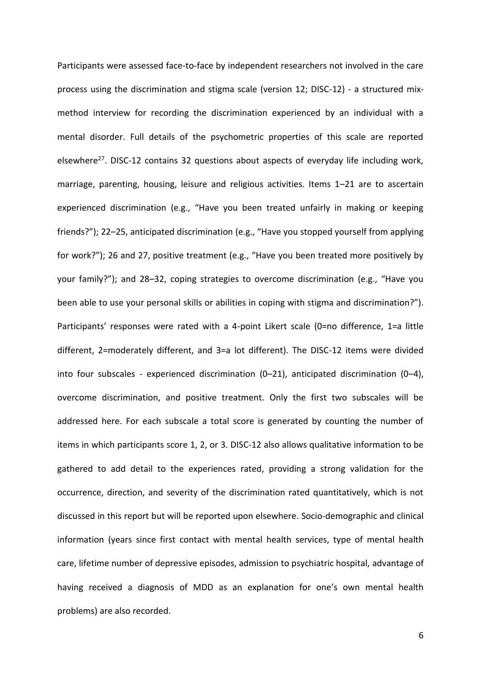Participants were assessed face-to-face by independent researchers not involved in the care process using the discrimination and stigma scale (version 12; DISC-12) - a structured mixmethod interview for recording the discrimination experienced by an individual with a mental disorder. Full details of the psychometric properties of this scale are reported elsewhere<sup>27</sup>. DISC-12 contains 32 questions about aspects of everyday life including work, marriage, parenting, housing, leisure and religious activities. Items 1–21 are to ascertain experienced discrimination (e.g., "Have you been treated unfairly in making or keeping friends?"); 22–25, anticipated discrimination (e.g., "Have you stopped yourself from applying for work?"); 26 and 27, positive treatment (e.g., "Have you been treated more positively by your family?"); and 28–32, coping strategies to overcome discrimination (e.g., "Have you been able to use your personal skills or abilities in coping with stigma and discrimination?"). Participants' responses were rated with a 4-point Likert scale (0=no difference, 1=a little different, 2=moderately different, and 3=a lot different). The DISC-12 items were divided into four subscales - experienced discrimination (0–21), anticipated discrimination (0–4), overcome discrimination, and positive treatment. Only the first two subscales will be addressed here. For each subscale a total score is generated by counting the number of items in which participants score 1, 2, or 3. DISC-12 also allows qualitative information to be gathered to add detail to the experiences rated, providing a strong validation for the occurrence, direction, and severity of the discrimination rated quantitatively, which is not discussed in this report but will be reported upon elsewhere. Socio-demographic and clinical information (years since first contact with mental health services, type of mental health care, lifetime number of depressive episodes, admission to psychiatric hospital, advantage of having received a diagnosis of MDD as an explanation for one's own mental health problems) are also recorded.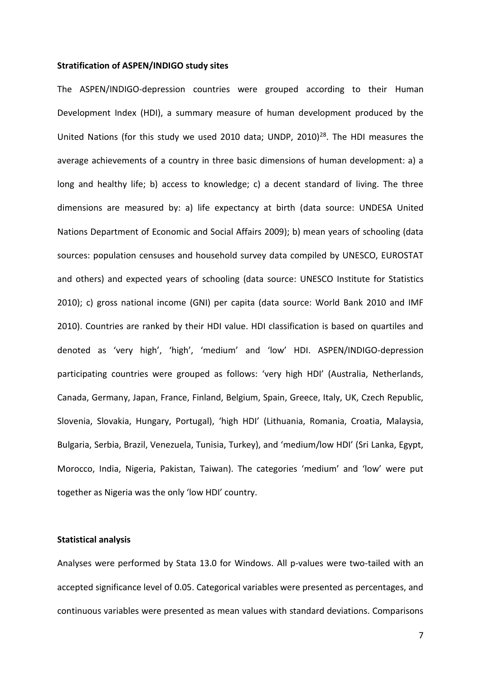#### **Stratification of ASPEN/INDIGO study sites**

The ASPEN/INDIGO-depression countries were grouped according to their Human Development Index (HDI), a summary measure of human development produced by the United Nations (for this study we used 2010 data; UNDP, 2010)<sup>28</sup>. The HDI measures the average achievements of a country in three basic dimensions of human development: a) a long and healthy life; b) access to knowledge; c) a decent standard of living. The three dimensions are measured by: a) life expectancy at birth (data source: UNDESA United Nations Department of Economic and Social Affairs 2009); b) mean years of schooling (data sources: population censuses and household survey data compiled by UNESCO, EUROSTAT and others) and expected years of schooling (data source: UNESCO Institute for Statistics 2010); c) gross national income (GNI) per capita (data source: World Bank 2010 and IMF 2010). Countries are ranked by their HDI value. HDI classification is based on quartiles and denoted as 'very high', 'high', 'medium' and 'low' HDI. ASPEN/INDIGO-depression participating countries were grouped as follows: 'very high HDI' (Australia, Netherlands, Canada, Germany, Japan, France, Finland, Belgium, Spain, Greece, Italy, UK, Czech Republic, Slovenia, Slovakia, Hungary, Portugal), 'high HDI' (Lithuania, Romania, Croatia, Malaysia, Bulgaria, Serbia, Brazil, Venezuela, Tunisia, Turkey), and 'medium/low HDI' (Sri Lanka, Egypt, Morocco, India, Nigeria, Pakistan, Taiwan). The categories 'medium' and 'low' were put together as Nigeria was the only 'low HDI' country.

#### **Statistical analysis**

Analyses were performed by Stata 13.0 for Windows. All p-values were two-tailed with an accepted significance level of 0.05. Categorical variables were presented as percentages, and continuous variables were presented as mean values with standard deviations. Comparisons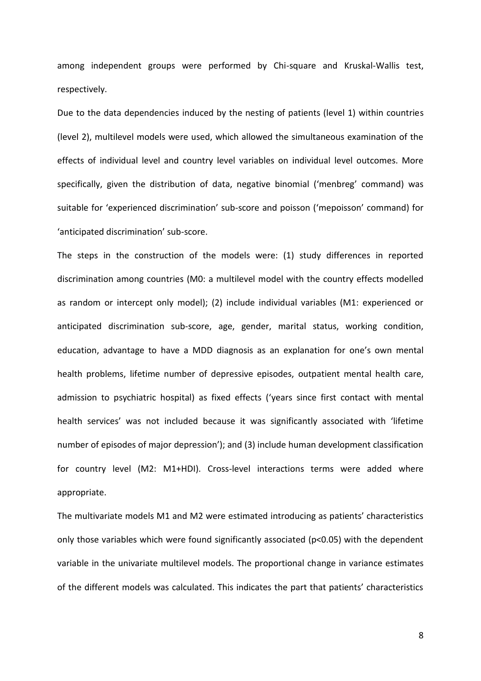among independent groups were performed by Chi-square and Kruskal-Wallis test, respectively.

Due to the data dependencies induced by the nesting of patients (level 1) within countries (level 2), multilevel models were used, which allowed the simultaneous examination of the effects of individual level and country level variables on individual level outcomes. More specifically, given the distribution of data, negative binomial ('menbreg' command) was suitable for 'experienced discrimination' sub-score and poisson ('mepoisson' command) for 'anticipated discrimination' sub-score.

The steps in the construction of the models were: (1) study differences in reported discrimination among countries (M0: a multilevel model with the country effects modelled as random or intercept only model); (2) include individual variables (M1: experienced or anticipated discrimination sub-score, age, gender, marital status, working condition, education, advantage to have a MDD diagnosis as an explanation for one's own mental health problems, lifetime number of depressive episodes, outpatient mental health care, admission to psychiatric hospital) as fixed effects ('years since first contact with mental health services' was not included because it was significantly associated with 'lifetime number of episodes of major depression'); and (3) include human development classification for country level (M2: M1+HDI). Cross-level interactions terms were added where appropriate.

The multivariate models M1 and M2 were estimated introducing as patients' characteristics only those variables which were found significantly associated (p<0.05) with the dependent variable in the univariate multilevel models. The proportional change in variance estimates of the different models was calculated. This indicates the part that patients' characteristics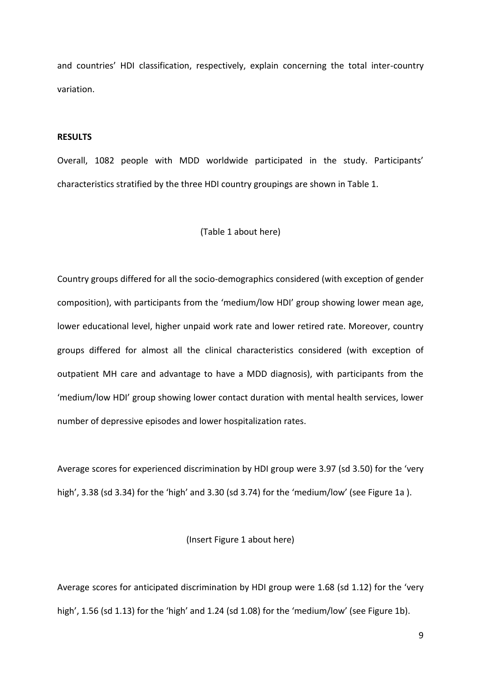and countries' HDI classification, respectively, explain concerning the total inter-country variation.

# **RESULTS**

Overall, 1082 people with MDD worldwide participated in the study. Participants' characteristics stratified by the three HDI country groupings are shown in Table 1.

# (Table 1 about here)

Country groups differed for all the socio-demographics considered (with exception of gender composition), with participants from the 'medium/low HDI' group showing lower mean age, lower educational level, higher unpaid work rate and lower retired rate. Moreover, country groups differed for almost all the clinical characteristics considered (with exception of outpatient MH care and advantage to have a MDD diagnosis), with participants from the 'medium/low HDI' group showing lower contact duration with mental health services, lower number of depressive episodes and lower hospitalization rates.

Average scores for experienced discrimination by HDI group were 3.97 (sd 3.50) for the 'very high', 3.38 (sd 3.34) for the 'high' and 3.30 (sd 3.74) for the 'medium/low' (see Figure 1a).

# (Insert Figure 1 about here)

Average scores for anticipated discrimination by HDI group were 1.68 (sd 1.12) for the 'very high', 1.56 (sd 1.13) for the 'high' and 1.24 (sd 1.08) for the 'medium/low' (see Figure 1b).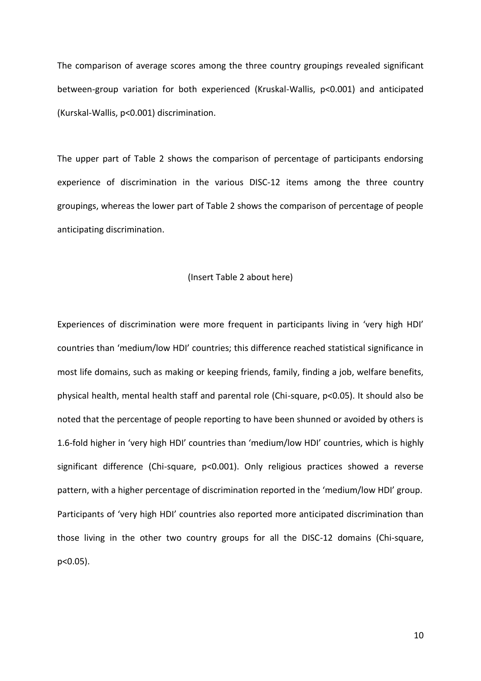The comparison of average scores among the three country groupings revealed significant between-group variation for both experienced (Kruskal-Wallis, p<0.001) and anticipated (Kurskal-Wallis, p<0.001) discrimination.

The upper part of Table 2 shows the comparison of percentage of participants endorsing experience of discrimination in the various DISC-12 items among the three country groupings, whereas the lower part of Table 2 shows the comparison of percentage of people anticipating discrimination.

#### (Insert Table 2 about here)

Experiences of discrimination were more frequent in participants living in 'very high HDI' countries than 'medium/low HDI' countries; this difference reached statistical significance in most life domains, such as making or keeping friends, family, finding a job, welfare benefits, physical health, mental health staff and parental role (Chi-square, p<0.05). It should also be noted that the percentage of people reporting to have been shunned or avoided by others is 1.6-fold higher in 'very high HDI' countries than 'medium/low HDI' countries, which is highly significant difference (Chi-square, p<0.001). Only religious practices showed a reverse pattern, with a higher percentage of discrimination reported in the 'medium/low HDI' group. Participants of 'very high HDI' countries also reported more anticipated discrimination than those living in the other two country groups for all the DISC-12 domains (Chi-square, p<0.05).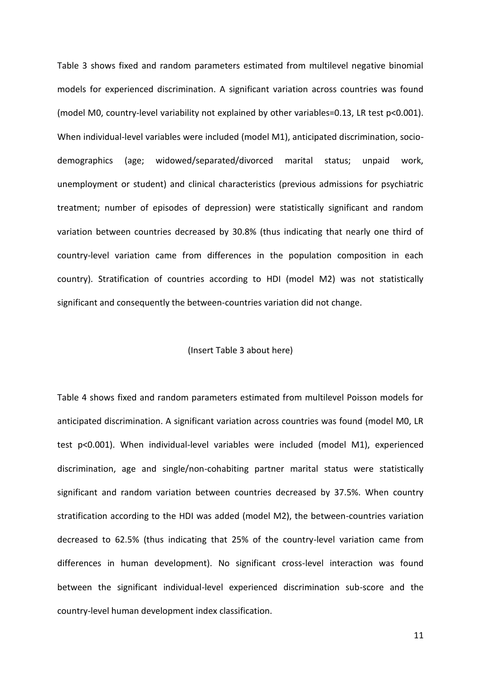Table 3 shows fixed and random parameters estimated from multilevel negative binomial models for experienced discrimination. A significant variation across countries was found (model M0, country-level variability not explained by other variables=0.13, LR test p<0.001). When individual-level variables were included (model M1), anticipated discrimination, sociodemographics (age; widowed/separated/divorced marital status; unpaid work, unemployment or student) and clinical characteristics (previous admissions for psychiatric treatment; number of episodes of depression) were statistically significant and random variation between countries decreased by 30.8% (thus indicating that nearly one third of country-level variation came from differences in the population composition in each country). Stratification of countries according to HDI (model M2) was not statistically significant and consequently the between-countries variation did not change.

# (Insert Table 3 about here)

Table 4 shows fixed and random parameters estimated from multilevel Poisson models for anticipated discrimination. A significant variation across countries was found (model M0, LR test p<0.001). When individual-level variables were included (model M1), experienced discrimination, age and single/non-cohabiting partner marital status were statistically significant and random variation between countries decreased by 37.5%. When country stratification according to the HDI was added (model M2), the between-countries variation decreased to 62.5% (thus indicating that 25% of the country-level variation came from differences in human development). No significant cross-level interaction was found between the significant individual-level experienced discrimination sub-score and the country-level human development index classification.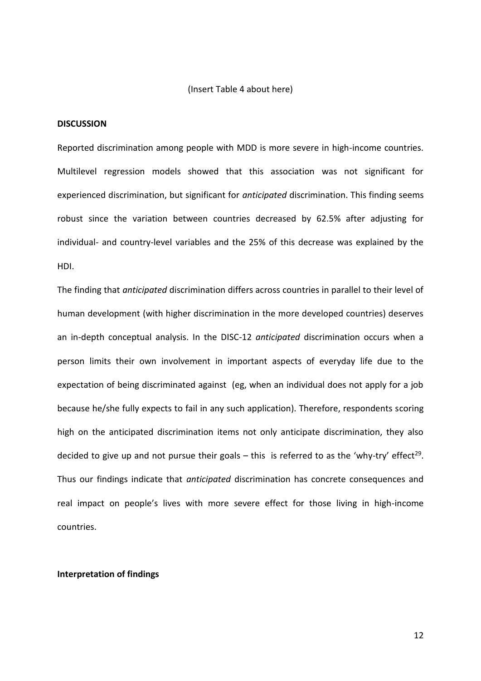#### (Insert Table 4 about here)

#### **DISCUSSION**

Reported discrimination among people with MDD is more severe in high-income countries. Multilevel regression models showed that this association was not significant for experienced discrimination, but significant for *anticipated* discrimination. This finding seems robust since the variation between countries decreased by 62.5% after adjusting for individual- and country-level variables and the 25% of this decrease was explained by the HDI.

The finding that *anticipated* discrimination differs across countries in parallel to their level of human development (with higher discrimination in the more developed countries) deserves an in-depth conceptual analysis. In the DISC-12 *anticipated* discrimination occurs when a person limits their own involvement in important aspects of everyday life due to the expectation of being discriminated against (eg, when an individual does not apply for a job because he/she fully expects to fail in any such application). Therefore, respondents scoring high on the anticipated discrimination items not only anticipate discrimination, they also decided to give up and not pursue their goals  $-$  this is referred to as the 'why-try' effect<sup>29</sup>. Thus our findings indicate that *anticipated* discrimination has concrete consequences and real impact on people's lives with more severe effect for those living in high-income countries.

### **Interpretation of findings**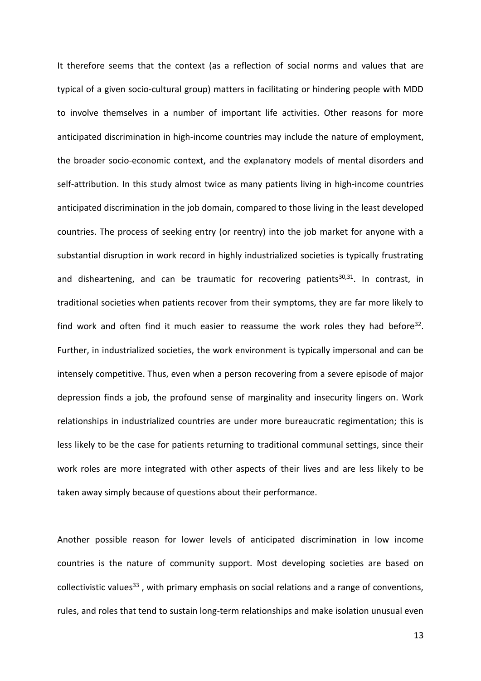It therefore seems that the context (as a reflection of social norms and values that are typical of a given socio-cultural group) matters in facilitating or hindering people with MDD to involve themselves in a number of important life activities. Other reasons for more anticipated discrimination in high-income countries may include the nature of employment, the broader socio-economic context, and the explanatory models of mental disorders and self-attribution. In this study almost twice as many patients living in high-income countries anticipated discrimination in the job domain, compared to those living in the least developed countries. The process of seeking entry (or reentry) into the job market for anyone with a substantial disruption in work record in highly industrialized societies is typically frustrating and disheartening, and can be traumatic for recovering patients<sup>30,31</sup>. In contrast, in traditional societies when patients recover from their symptoms, they are far more likely to find work and often find it much easier to reassume the work roles they had before<sup>32</sup>. Further, in industrialized societies, the work environment is typically impersonal and can be intensely competitive. Thus, even when a person recovering from a severe episode of major depression finds a job, the profound sense of marginality and insecurity lingers on. Work relationships in industrialized countries are under more bureaucratic regimentation; this is less likely to be the case for patients returning to traditional communal settings, since their work roles are more integrated with other aspects of their lives and are less likely to be taken away simply because of questions about their performance.

Another possible reason for lower levels of anticipated discrimination in low income countries is the nature of community support. Most developing societies are based on collectivistic values<sup>33</sup>, with primary emphasis on social relations and a range of conventions, rules, and roles that tend to sustain long-term relationships and make isolation unusual even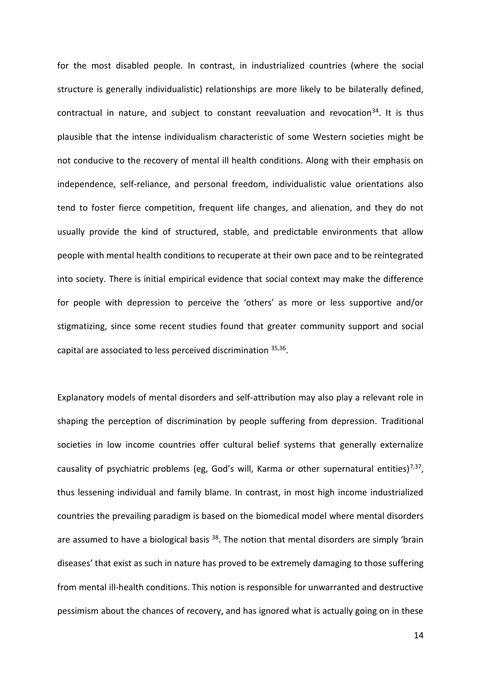for the most disabled people. In contrast, in industrialized countries (where the social structure is generally individualistic) relationships are more likely to be bilaterally defined, contractual in nature, and subject to constant reevaluation and revocation<sup>34</sup>. It is thus plausible that the intense individualism characteristic of some Western societies might be not conducive to the recovery of mental ill health conditions. Along with their emphasis on independence, self-reliance, and personal freedom, individualistic value orientations also tend to foster fierce competition, frequent life changes, and alienation, and they do not usually provide the kind of structured, stable, and predictable environments that allow people with mental health conditions to recuperate at their own pace and to be reintegrated into society. There is initial empirical evidence that social context may make the difference for people with depression to perceive the 'others' as more or less supportive and/or stigmatizing, since some recent studies found that greater community support and social capital are associated to less perceived discrimination 35,36.

Explanatory models of mental disorders and self-attribution may also play a relevant role in shaping the perception of discrimination by people suffering from depression. Traditional societies in low income countries offer cultural belief systems that generally externalize causality of psychiatric problems (eg, God's will, Karma or other supernatural entities)<sup>7,37</sup>, thus lessening individual and family blame. In contrast, in most high income industrialized countries the prevailing paradigm is based on the biomedical model where mental disorders are assumed to have a biological basis <sup>38</sup>. The notion that mental disorders are simply 'brain diseases' that exist as such in nature has proved to be extremely damaging to those suffering from mental ill-health conditions. This notion is responsible for unwarranted and destructive pessimism about the chances of recovery, and has ignored what is actually going on in these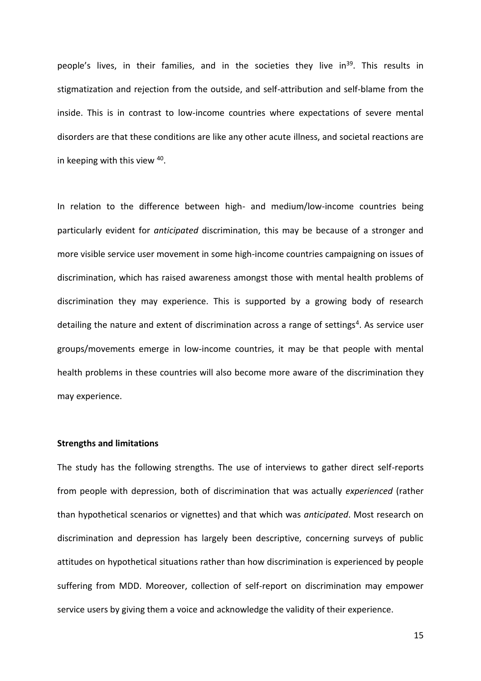people's lives, in their families, and in the societies they live in<sup>39</sup>. This results in stigmatization and rejection from the outside, and self-attribution and self-blame from the inside. This is in contrast to low-income countries where expectations of severe mental disorders are that these conditions are like any other acute illness, and societal reactions are in keeping with this view <sup>40</sup>.

In relation to the difference between high- and medium/low-income countries being particularly evident for *anticipated* discrimination, this may be because of a stronger and more visible service user movement in some high-income countries campaigning on issues of discrimination, which has raised awareness amongst those with mental health problems of discrimination they may experience. This is supported by a growing body of research detailing the nature and extent of discrimination across a range of settings<sup>4</sup>. As service user groups/movements emerge in low-income countries, it may be that people with mental health problems in these countries will also become more aware of the discrimination they may experience.

# **Strengths and limitations**

The study has the following strengths. The use of interviews to gather direct self-reports from people with depression, both of discrimination that was actually *experienced* (rather than hypothetical scenarios or vignettes) and that which was *anticipated*. Most research on discrimination and depression has largely been descriptive, concerning surveys of public attitudes on hypothetical situations rather than how discrimination is experienced by people suffering from MDD. Moreover, collection of self-report on discrimination may empower service users by giving them a voice and acknowledge the validity of their experience.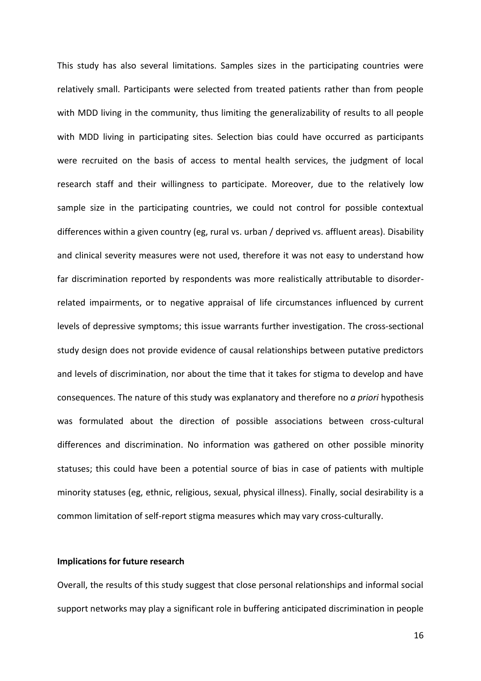This study has also several limitations. Samples sizes in the participating countries were relatively small. Participants were selected from treated patients rather than from people with MDD living in the community, thus limiting the generalizability of results to all people with MDD living in participating sites. Selection bias could have occurred as participants were recruited on the basis of access to mental health services, the judgment of local research staff and their willingness to participate. Moreover, due to the relatively low sample size in the participating countries, we could not control for possible contextual differences within a given country (eg, rural vs. urban / deprived vs. affluent areas). Disability and clinical severity measures were not used, therefore it was not easy to understand how far discrimination reported by respondents was more realistically attributable to disorderrelated impairments, or to negative appraisal of life circumstances influenced by current levels of depressive symptoms; this issue warrants further investigation. The cross-sectional study design does not provide evidence of causal relationships between putative predictors and levels of discrimination, nor about the time that it takes for stigma to develop and have consequences. The nature of this study was explanatory and therefore no *a priori* hypothesis was formulated about the direction of possible associations between cross-cultural differences and discrimination. No information was gathered on other possible minority statuses; this could have been a potential source of bias in case of patients with multiple minority statuses (eg, ethnic, religious, sexual, physical illness). Finally, social desirability is a common limitation of self-report stigma measures which may vary cross-culturally.

# **Implications for future research**

Overall, the results of this study suggest that close personal relationships and informal social support networks may play a significant role in buffering anticipated discrimination in people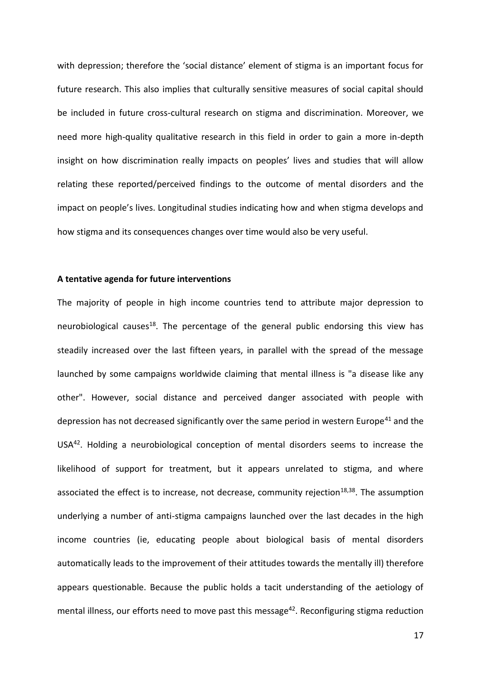with depression; therefore the 'social distance' element of stigma is an important focus for future research. This also implies that culturally sensitive measures of social capital should be included in future cross-cultural research on stigma and discrimination. Moreover, we need more high-quality qualitative research in this field in order to gain a more in-depth insight on how discrimination really impacts on peoples' lives and studies that will allow relating these reported/perceived findings to the outcome of mental disorders and the impact on people's lives. Longitudinal studies indicating how and when stigma develops and how stigma and its consequences changes over time would also be very useful.

# **A tentative agenda for future interventions**

The majority of people in high income countries tend to attribute major depression to neurobiological causes<sup>18</sup>. The percentage of the general public endorsing this view has steadily increased over the last fifteen years, in parallel with the spread of the message launched by some campaigns worldwide claiming that mental illness is "a disease like any other". However, social distance and perceived danger associated with people with depression has not decreased significantly over the same period in western Europe<sup>41</sup> and the USA<sup>42</sup>. Holding a neurobiological conception of mental disorders seems to increase the likelihood of support for treatment, but it appears unrelated to stigma, and where associated the effect is to increase, not decrease, community rejection<sup>18,38</sup>. The assumption underlying a number of anti-stigma campaigns launched over the last decades in the high income countries (ie, educating people about biological basis of mental disorders automatically leads to the improvement of their attitudes towards the mentally ill) therefore appears questionable. Because the public holds a tacit understanding of the aetiology of mental illness, our efforts need to move past this message<sup>42</sup>. Reconfiguring stigma reduction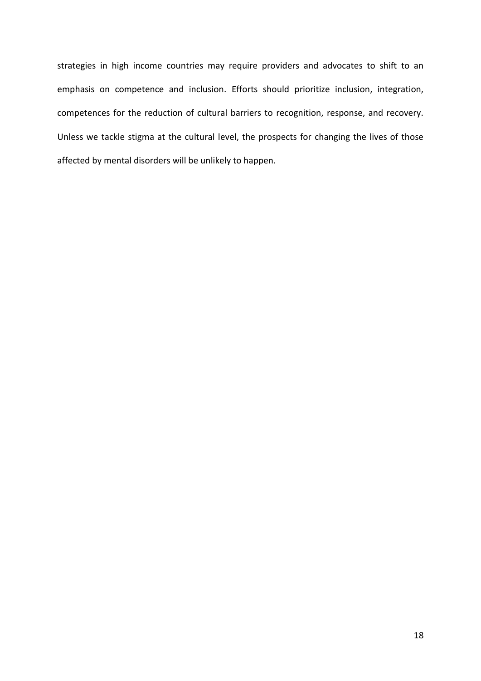strategies in high income countries may require providers and advocates to shift to an emphasis on competence and inclusion. Efforts should prioritize inclusion, integration, competences for the reduction of cultural barriers to recognition, response, and recovery. Unless we tackle stigma at the cultural level, the prospects for changing the lives of those affected by mental disorders will be unlikely to happen.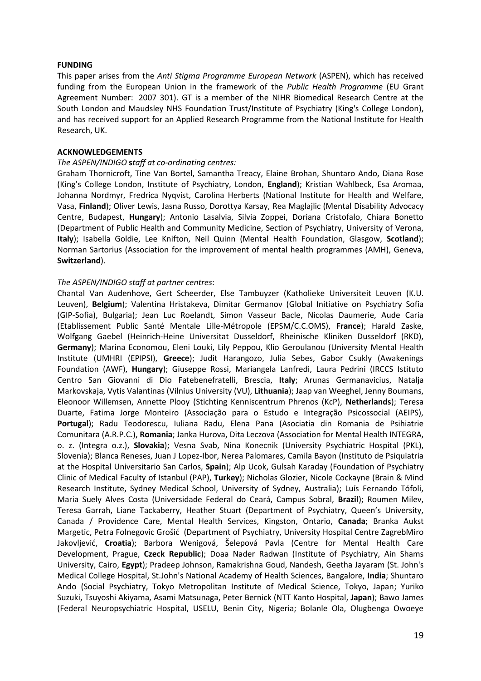#### **FUNDING**

This paper arises from the *Anti Stigma Programme European Network* (ASPEN), which has received funding from the European Union in the framework of the *Public Health Programme* (EU Grant Agreement Number: 2007 301). GT is a member of the NIHR Biomedical Research Centre at the South London and Maudsley NHS Foundation Trust/Institute of Psychiatry (King's College London), and has received support for an Applied Research Programme from the National Institute for Health Research, UK.

#### **ACKNOWLEDGEMENTS**

#### *The ASPEN/INDIGO* **s***taff at co-ordinating centres:*

Graham Thornicroft, Tine Van Bortel, Samantha Treacy, Elaine Brohan, Shuntaro Ando, Diana Rose (King's College London, Institute of Psychiatry, London, **England**); Kristian Wahlbeck, Esa Aromaa, Johanna Nordmyr, Fredrica Nyqvist, Carolina Herberts (National Institute for Health and Welfare, Vasa, **Finland**); Oliver Lewis, Jasna Russo, Dorottya Karsay, Rea Maglajlic (Mental Disability Advocacy Centre, Budapest, **Hungary**); Antonio Lasalvia, Silvia Zoppei, Doriana Cristofalo, Chiara Bonetto (Department of Public Health and Community Medicine, Section of Psychiatry, University of Verona, **Italy**); Isabella Goldie, Lee Knifton, Neil Quinn (Mental Health Foundation, Glasgow, **Scotland**); Norman Sartorius (Association for the improvement of mental health programmes (AMH), Geneva, **Switzerland**).

# *The ASPEN/INDIGO staff at partner centres*:

Chantal Van Audenhove, Gert Scheerder, Else Tambuyzer (Katholieke Universiteit Leuven (K.U. Leuven), **Belgium**); Valentina Hristakeva, Dimitar Germanov (Global Initiative on Psychiatry Sofia (GIP-Sofia), Bulgaria); Jean Luc Roelandt, Simon Vasseur Bacle, Nicolas Daumerie, Aude Caria (Etablissement Public Santé Mentale Lille-Métropole (EPSM/C.C.OMS), **France**); Harald Zaske, Wolfgang Gaebel (Heinrich-Heine Universitat Dusseldorf, Rheinische Kliniken Dusseldorf (RKD), **Germany**); Marina Economou, Eleni Louki, Lily Peppou, Klio Geroulanou (University Mental Health Institute (UMHRI (EPIPSI), **Greece**); Judit Harangozo, Julia Sebes, Gabor Csukly (Awakenings Foundation (AWF), **Hungary**); Giuseppe Rossi, Mariangela Lanfredi, Laura Pedrini (IRCCS Istituto Centro San Giovanni di Dio Fatebenefratelli, Brescia, **Italy**; Arunas Germanavicius, Natalja Markovskaja, Vytis Valantinas (Vilnius University (VU), **Lithuania**); Jaap van Weeghel, Jenny Boumans, Eleonoor Willemsen, Annette Plooy (Stichting Kenniscentrum Phrenos (KcP), **Netherlands**); Teresa Duarte, Fatima Jorge Monteiro (Associação para o Estudo e Integração Psicossocial (AEIPS), **Portugal**); Radu Teodorescu, Iuliana Radu, Elena Pana (Asociatia din Romania de Psihiatrie Comunitara (A.R.P.C.), **Romania**; Janka Hurova, Dita Leczova (Association for Mental Health INTEGRA, o. z. (Integra o.z.), **Slovakia**); Vesna Svab, Nina Konecnik (University Psychiatric Hospital (PKL), Slovenia); Blanca Reneses, Juan J Lopez-Ibor, Nerea Palomares, Camila Bayon (Instituto de Psiquiatria at the Hospital Universitario San Carlos, **Spain**); Alp Ucok, Gulsah Karaday (Foundation of Psychiatry Clinic of Medical Faculty of Istanbul (PAP), **Turkey**); Nicholas Glozier, Nicole Cockayne (Brain & Mind Research Institute, Sydney Medical School, University of Sydney, Australia); Luís Fernando Tófoli, Maria Suely Alves Costa (Universidade Federal do Ceará, Campus Sobral, **Brazil**); Roumen Milev, Teresa Garrah, Liane Tackaberry, Heather Stuart (Department of Psychiatry, Queen's University, Canada / Providence Care, Mental Health Services, Kingston, Ontario, **Canada**; Branka Aukst Margetic, Petra Folnegovic Grošić (Department of Psychiatry, University Hospital Centre ZagrebMiro Jakovljević, **Croatia**); Barbora Wenigová, Šelepová Pavla (Centre for Mental Health Care Development, Prague, **Czeck Republic**); Doaa Nader Radwan (Institute of Psychiatry, Ain Shams University, Cairo, **Egypt**); Pradeep Johnson, Ramakrishna Goud, Nandesh, Geetha Jayaram (St. John's Medical College Hospital, St.John's National Academy of Health Sciences, Bangalore, **India**; Shuntaro Ando (Social Psychiatry, Tokyo Metropolitan Institute of Medical Science, Tokyo, Japan; Yuriko Suzuki, Tsuyoshi Akiyama, Asami Matsunaga, Peter Bernick (NTT Kanto Hospital, **Japan**); Bawo James (Federal Neuropsychiatric Hospital, USELU, Benin City, Nigeria; Bolanle Ola, Olugbenga Owoeye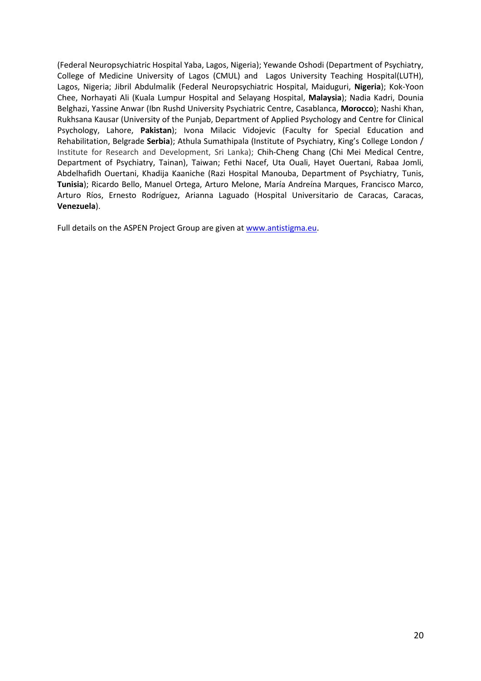(Federal Neuropsychiatric Hospital Yaba, Lagos, Nigeria); Yewande Oshodi (Department of Psychiatry, College of Medicine University of Lagos (CMUL) and Lagos University Teaching Hospital(LUTH), Lagos, Nigeria; Jibril Abdulmalik (Federal Neuropsychiatric Hospital, Maiduguri, **Nigeria**); Kok-Yoon Chee, Norhayati Ali (Kuala Lumpur Hospital and Selayang Hospital, **Malaysia**); Nadia Kadri, Dounia Belghazi, Yassine Anwar (Ibn Rushd University Psychiatric Centre, Casablanca, **Morocco**); Nashi Khan, Rukhsana Kausar (University of the Punjab, Department of Applied Psychology and Centre for Clinical Psychology, Lahore, **Pakistan**); Ivona Milacic Vidojevic (Faculty for Special Education and Rehabilitation, Belgrade **Serbia**); [Athula Sumathipala](mailto:athula.sumathipala@kcl.ac.uk) (Institute of Psychiatry, King's College London / Institute for Research and Development, Sri Lanka); Chih-Cheng Chang (Chi Mei Medical Centre, Department of Psychiatry, Tainan), Taiwan; Fethi Nacef, Uta Ouali, Hayet Ouertani, Rabaa Jomli, Abdelhafidh Ouertani, Khadija Kaaniche (Razi Hospital Manouba, Department of Psychiatry, Tunis, **Tunisia**); Ricardo Bello, Manuel Ortega, Arturo Melone, María Andreína Marques, Francisco Marco, Arturo Ríos, Ernesto Rodríguez, Arianna Laguado (Hospital Universitario de Caracas, Caracas, **Venezuela**).

Full details on the ASPEN Project Group are given a[t www.antistigma.eu.](http://www.antistigma.eu/)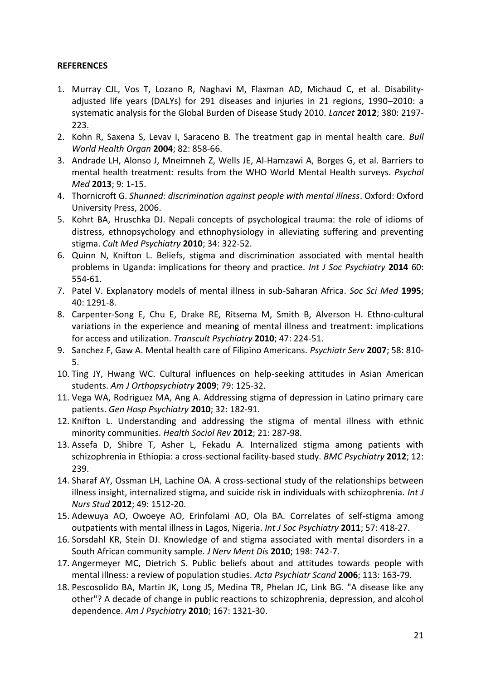# **REFERENCES**

- 1. Murray CJL, Vos T, Lozano R, Naghavi M, Flaxman AD, [Michaud C,](http://www.ncbi.nlm.nih.gov/pubmed?term=Michaud%20C%5BAuthor%5D&cauthor=true&cauthor_uid=23245608) et al. Disabilityadjusted life years (DALYs) for 291 diseases and injuries in 21 regions, 1990–2010: a systematic analysis for the Global Burden of Disease Study 2010. *Lancet* **2012**; 380: 2197- 223.
- 2. Kohn R, Saxena S, Levav I, Saraceno B. The treatment gap in mental health care. *Bull World Health Organ* **2004**; 82: 858-66.
- 3. Andrade LH, Alonso J, Mneimneh Z, Wells JE, Al-Hamzawi A, Borges G, et al. [Barriers to](http://www.ncbi.nlm.nih.gov/pubmed/23931656)  [mental health treatment: results from the WHO World Mental Health surveys.](http://www.ncbi.nlm.nih.gov/pubmed/23931656) *Psychol Med* **2013**; 9: 1-15.
- 4. Thornicroft G. *Shunned: discrimination against people with mental illness*. Oxford: Oxford University Press, 2006.
- 5. Kohrt BA, Hruschka DJ. Nepali concepts of psychological trauma: the role of idioms of distress, ethnopsychology and ethnophysiology in alleviating suffering and preventing stigma. *Cult Med Psychiatry* **2010**; 34: 322-52.
- 6. Quinn N, Knifton L. Beliefs, stigma and discrimination associated with mental health problems in Uganda: implications for theory and practice. *Int J Soc Psychiatry* **2014** 60: 554-61.
- 7. [Patel V.](http://www.ncbi.nlm.nih.gov/pubmed?term=Patel%20V%5BAuthor%5D&cauthor=true&cauthor_uid=7610434) Explanatory models of mental illness in sub-Saharan Africa. *[Soc Sci Med](http://www.ncbi.nlm.nih.gov/pubmed/7610434)* **1995**; 40: 1291-8.
- 8. [Carpenter-Song E,](http://www.ncbi.nlm.nih.gov/pubmed?term=Carpenter-Song%20E%5BAuthor%5D&cauthor=true&cauthor_uid=20603387) [Chu E,](http://www.ncbi.nlm.nih.gov/pubmed?term=Chu%20E%5BAuthor%5D&cauthor=true&cauthor_uid=20603387) [Drake RE,](http://www.ncbi.nlm.nih.gov/pubmed?term=Drake%20RE%5BAuthor%5D&cauthor=true&cauthor_uid=20603387) [Ritsema M,](http://www.ncbi.nlm.nih.gov/pubmed?term=Ritsema%20M%5BAuthor%5D&cauthor=true&cauthor_uid=20603387) [Smith B,](http://www.ncbi.nlm.nih.gov/pubmed?term=Smith%20B%5BAuthor%5D&cauthor=true&cauthor_uid=20603387) [Alverson H.](http://www.ncbi.nlm.nih.gov/pubmed?term=Alverson%20H%5BAuthor%5D&cauthor=true&cauthor_uid=20603387) Ethno-cultural variations in the experience and meaning of mental illness and treatment: implications for access and utilization. *Transcult Psychiatry* **2010**; 47: 224-51.
- 9. Sanchez F, Gaw A. Mental health care of Filipino Americans. *Psychiatr Serv* **2007**; 58: 810- 5.
- 10. Ting JY, Hwang WC. Cultural influences on help-seeking attitudes in Asian American students. *Am J Orthopsychiatry* **2009**; 79: 125-32.
- 11. Vega WA, Rodriguez MA, Ang A. Addressing stigma of depression in Latino primary care patients. *Gen Hosp Psychiatry* **2010**; 32: 182-91.
- 12. Knifton L. Understanding and addressing the stigma of mental illness with ethnic minority communities. *Health Sociol Rev* **2012**; 21: 287-98.
- 13. Assefa D, Shibre T, Asher L, Fekadu A. [Internalized stigma among patients with](http://www.ncbi.nlm.nih.gov/pubmed/23272796)  [schizophrenia in Ethiopia: a cross-sectional facility-based study.](http://www.ncbi.nlm.nih.gov/pubmed/23272796) *BMC Psychiatry* **2012**; 12: 239.
- 14. Sharaf AY, Ossman LH, Lachine OA. [A cross-sectional study of the relationships between](http://www.ncbi.nlm.nih.gov/pubmed/22939218)  illness insight, internalized stigma, and [suicide risk in individuals with schizophrenia.](http://www.ncbi.nlm.nih.gov/pubmed/22939218) *Int J Nurs Stud* **2012**; 49: 1512-20.
- 15. Adewuya AO, Owoeye AO, Erinfolami AO, Ola BA. [Correlates of self-stigma among](http://www.ncbi.nlm.nih.gov/pubmed/20354068)  [outpatients with mental illness in](http://www.ncbi.nlm.nih.gov/pubmed/20354068) Lagos, Nigeria. *Int J Soc Psychiatry* **2011**; 57: 418-27.
- 16. Sorsdahl KR, Stein DJ. Knowledge of and stigma associated with mental disorders in a South African community sample. *J Nerv Ment Dis* **2010**; 198: 742-7.
- 17. Angermeyer MC, Dietrich S. Public beliefs about and attitudes towards people with mental illness: a review of population studies. *Acta Psychiatr Scand* **2006**; 113: 163-79.
- 18. Pescosolido BA, Martin JK, Long JS, Medina TR, Phelan JC, Link BG. ["A disease like any](http://www.ncbi.nlm.nih.gov/pubmed/20843872)  [other"? A decade of change in public reactions to schizophrenia, depression, and alcohol](http://www.ncbi.nlm.nih.gov/pubmed/20843872)  [dependence.](http://www.ncbi.nlm.nih.gov/pubmed/20843872) *Am J Psychiatry* **2010**; 167: 1321-30.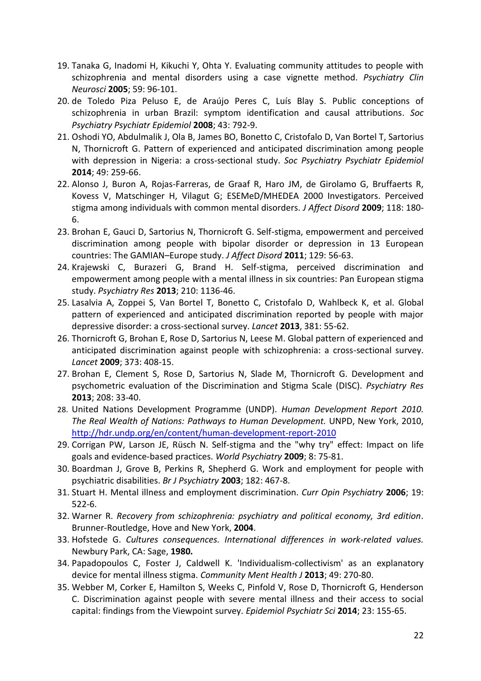- 19. Tanaka G, Inadomi H, Kikuchi Y, Ohta Y. [Evaluating community attitudes to people with](http://www.ncbi.nlm.nih.gov/pubmed/15679547)  [schizophrenia and mental disorders using a case vignette method.](http://www.ncbi.nlm.nih.gov/pubmed/15679547) *Psychiatry Clin Neurosci* **2005**; 59: 96-101.
- 20. de Toledo Piza Peluso E, de Araújo Peres C, Luís Blay S. [Public conceptions of](http://www.ncbi.nlm.nih.gov/pubmed/18500482)  [schizophrenia in urban Brazil: symptom identification and causal attributions.](http://www.ncbi.nlm.nih.gov/pubmed/18500482) *Soc Psychiatry Psychiatr Epidemiol* **2008**; 43: 792-9.
- 21. Oshodi YO, Abdulmalik J, Ola B, [James BO,](http://www.ncbi.nlm.nih.gov/pubmed?term=James%20BO%5BAuthor%5D&cauthor=true&cauthor_uid=23851703) [Bonetto C,](http://www.ncbi.nlm.nih.gov/pubmed?term=Bonetto%20C%5BAuthor%5D&cauthor=true&cauthor_uid=23851703) [Cristofalo D,](http://www.ncbi.nlm.nih.gov/pubmed?term=Cristofalo%20D%5BAuthor%5D&cauthor=true&cauthor_uid=23851703) [Van Bortel T,](http://www.ncbi.nlm.nih.gov/pubmed?term=Van%20Bortel%20T%5BAuthor%5D&cauthor=true&cauthor_uid=23851703) [Sartorius](http://www.ncbi.nlm.nih.gov/pubmed?term=Sartorius%20N%5BAuthor%5D&cauthor=true&cauthor_uid=23851703) [N,](http://www.ncbi.nlm.nih.gov/pubmed?term=Sartorius%20N%5BAuthor%5D&cauthor=true&cauthor_uid=23851703) [Thornicroft G.](http://www.ncbi.nlm.nih.gov/pubmed?term=Thornicroft%20G%5BAuthor%5D&cauthor=true&cauthor_uid=23851703) [Pattern of experienced and anticipated discrimination among](http://www.ncbi.nlm.nih.gov/pubmed/23851703) people [with depression in Nigeria: a cross-sectional study.](http://www.ncbi.nlm.nih.gov/pubmed/23851703) *Soc Psychiatry Psychiatr Epidemiol* **2014**; 49: 259-66.
- 22. Alonso J, Buron A, Rojas-Farreras, [de Graaf R,](http://www.ncbi.nlm.nih.gov/pubmed?term=de%20Graaf%20R%5BAuthor%5D&cauthor=true&cauthor_uid=19285349) [Haro JM,](http://www.ncbi.nlm.nih.gov/pubmed?term=Haro%20JM%5BAuthor%5D&cauthor=true&cauthor_uid=19285349) [de Girolamo G,](http://www.ncbi.nlm.nih.gov/pubmed?term=de%20Girolamo%20G%5BAuthor%5D&cauthor=true&cauthor_uid=19285349) [Bruffaerts R,](http://www.ncbi.nlm.nih.gov/pubmed?term=Bruffaerts%20R%5BAuthor%5D&cauthor=true&cauthor_uid=19285349) [Kovess V,](http://www.ncbi.nlm.nih.gov/pubmed?term=Kovess%20V%5BAuthor%5D&cauthor=true&cauthor_uid=19285349) [Matschinger H,](http://www.ncbi.nlm.nih.gov/pubmed?term=Matschinger%20H%5BAuthor%5D&cauthor=true&cauthor_uid=19285349) [Vilagut G;](http://www.ncbi.nlm.nih.gov/pubmed?term=Vilagut%20G%5BAuthor%5D&cauthor=true&cauthor_uid=19285349) [ESEMeD/MHEDEA 2000 Investigators.](http://www.ncbi.nlm.nih.gov/pubmed?term=ESEMeD%2FMHEDEA%202000%20Investigators%5BCorporate%20Author%5D) Perceived stigma among individuals with common mental disorders. *J Affect Disord* **2009**; 118: 180- 6.
- 23. Brohan E, Gauci D, Sartorius N, Thornicroft G. Self-stigma, empowerment and perceived discrimination among people with bipolar disorder or depression in 13 European countries: The GAMIAN–Europe study. *J Affect Disord* **2011**; 129: 56-63.
- 24. Krajewski C, Burazeri G, Brand H. Self-stigma, perceived discrimination and empowerment among people with a mental illness in six countries: Pan European stigma study. *[Psychiatry Res](http://www.ncbi.nlm.nih.gov/pubmed/?term=Krajewski+%2C+Burazeri)* **2013**; 210: 1136-46.
- 25. Lasalvia A, Zoppei S, Van Bortel T, Bonetto C, Cristofalo D, Wahlbeck K, et al. Global pattern of experienced and anticipated discrimination reported by people with major depressive disorder: a cross-sectional survey. *Lancet* **2013**, 381: 55-62.
- 26. Thornicroft G, Brohan E, Rose D, Sartorius N, Leese M. Global pattern of experienced and anticipated discrimination against people with schizophrenia: a cross-sectional survey. *Lancet* **2009**; 373: 408-15.
- 27. [Brohan E,](http://www.ncbi.nlm.nih.gov/pubmed?term=Brohan%20E%5BAuthor%5D&cauthor=true&cauthor_uid=23582210) [Clement S,](http://www.ncbi.nlm.nih.gov/pubmed?term=Clement%20S%5BAuthor%5D&cauthor=true&cauthor_uid=23582210) [Rose D,](http://www.ncbi.nlm.nih.gov/pubmed?term=Rose%20D%5BAuthor%5D&cauthor=true&cauthor_uid=23582210) [Sartorius N,](http://www.ncbi.nlm.nih.gov/pubmed?term=Sartorius%20N%5BAuthor%5D&cauthor=true&cauthor_uid=23582210) [Slade M,](http://www.ncbi.nlm.nih.gov/pubmed?term=Slade%20M%5BAuthor%5D&cauthor=true&cauthor_uid=23582210) [Thornicroft G.](http://www.ncbi.nlm.nih.gov/pubmed?term=Thornicroft%20G%5BAuthor%5D&cauthor=true&cauthor_uid=23582210) Development and psychometric evaluation of the Discrimination and Stigma Scale (DISC). *[Psychiatry Res](http://www.ncbi.nlm.nih.gov/pubmed/?term=Brohan+E%2C+Clement+S%2C+Rose+D%2C+Sartorius+N%2C+Slade+M%2C+Thornicroft+G)* **2013**; 208: 33-40.
- 28. United Nations Development Programme (UNDP). *Human Development Report 2010. The Real Wealth of Nations: Pathways to Human Development.* UNPD, New York, 2010, <http://hdr.undp.org/en/content/human-development-report-2010>
- 29. Corrigan PW, Larson JE, Rüsch N. Self-stigma and the "why try" effect: Impact on life goals and evidence-based practices. *World Psychiatry* **2009**; 8: 75-81.
- 30. [Boardman J,](http://www.ncbi.nlm.nih.gov/pubmed?term=Boardman%20J%5BAuthor%5D&cauthor=true&cauthor_uid=12777333) [Grove B,](http://www.ncbi.nlm.nih.gov/pubmed?term=Grove%20B%5BAuthor%5D&cauthor=true&cauthor_uid=12777333) [Perkins R,](http://www.ncbi.nlm.nih.gov/pubmed?term=Perkins%20R%5BAuthor%5D&cauthor=true&cauthor_uid=12777333) [Shepherd G.](http://www.ncbi.nlm.nih.gov/pubmed?term=Shepherd%20G%5BAuthor%5D&cauthor=true&cauthor_uid=12777333) Work and employment for people with psychiatric disabilities. *[Br J Psychiatry](http://www.ncbi.nlm.nih.gov/pubmed/12777333)* **2003**; 182: 467-8.
- 31. [Stuart H.](http://www.ncbi.nlm.nih.gov/pubmed?term=Stuart%20H%5BAuthor%5D&cauthor=true&cauthor_uid=16874128) Mental illness and employment discrimination. *[Curr Opin Psychiatry](http://www.ncbi.nlm.nih.gov/pubmed/16874128)* **2006**; 19: 522-6.
- 32. Warner R. *Recovery from schizophrenia: psychiatry and political economy, 3rd edition*. Brunner-Routledge, Hove and New York, **2004**.
- 33. Hofstede G. *Cultures consequences. International differences in work-related values.*  Newbury Park, CA: Sage, **1980.**
- 34. [Papadopoulos C,](http://www.ncbi.nlm.nih.gov/pubmed?term=Papadopoulos%20C%5BAuthor%5D&cauthor=true&cauthor_uid=22837106) [Foster J,](http://www.ncbi.nlm.nih.gov/pubmed?term=Foster%20J%5BAuthor%5D&cauthor=true&cauthor_uid=22837106) [Caldwell K.](http://www.ncbi.nlm.nih.gov/pubmed?term=Caldwell%20K%5BAuthor%5D&cauthor=true&cauthor_uid=22837106) 'Individualism-collectivism' as an explanatory device for mental illness stigma. *[Community Ment Health J](http://www.ncbi.nlm.nih.gov/pubmed/22837106)* **2013**; 49: 270-80.
- 35. Webber M, Corker E, Hamilton S, Weeks C, Pinfold V, Rose D, Thornicroft G, Henderson C. Discrimination against people with severe mental illness and their access to social capital: findings from the Viewpoint survey. *[Epidemiol Psychiatr Sci](http://www.ncbi.nlm.nih.gov/pubmed/?term=Webber+M%2C+Corker+E%2C+Hamilton+S%2C+Weeks+C%2C+Pinfold+V%2C+Rose+D%2C+Thornicroft+G%2C+Henderson+C)* **2014**; 23: 155-65.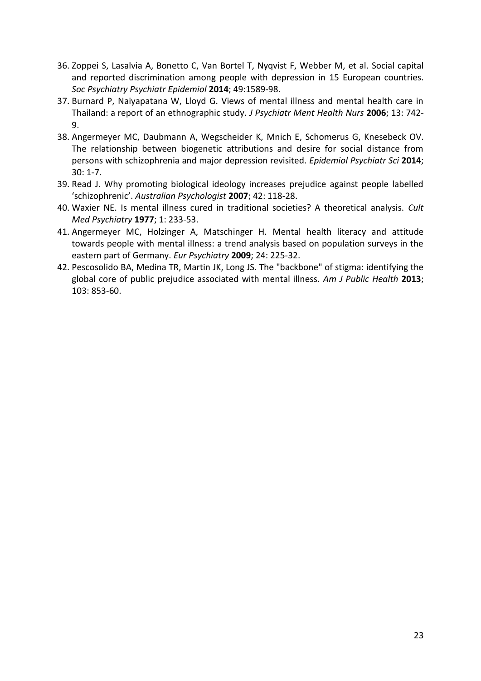- 36. Zoppei S, Lasalvia A, Bonetto C, Van Bortel T, Nyqvist F, Webber M, et al. Social capital and reported discrimination among people with depression in 15 European countries. *Soc Psychiatry Psychiatr Epidemiol* **2014**; 49:1589-98.
- 37. Burnard P, Naiyapatana W, Lloyd G. Views of mental illness and mental health care in Thailand: a report of an ethnographic study. *J Psychiatr Ment Health Nurs* **2006**; 13: 742- 9.
- 38. [Angermeyer MC,](http://www.ncbi.nlm.nih.gov/pubmed?term=Angermeyer%20MC%5BAuthor%5D&cauthor=true&cauthor_uid=24786227) [Daubmann](http://www.ncbi.nlm.nih.gov/pubmed?term=Daubmann%20A%5BAuthor%5D&cauthor=true&cauthor_uid=24786227) A, [Wegscheider K,](http://www.ncbi.nlm.nih.gov/pubmed?term=Wegscheider%20K%5BAuthor%5D&cauthor=true&cauthor_uid=24786227) [Mnich E,](http://www.ncbi.nlm.nih.gov/pubmed?term=Mnich%20E%5BAuthor%5D&cauthor=true&cauthor_uid=24786227) [Schomerus G,](http://www.ncbi.nlm.nih.gov/pubmed?term=Schomerus%20G%5BAuthor%5D&cauthor=true&cauthor_uid=24786227) [Knesebeck OV.](http://www.ncbi.nlm.nih.gov/pubmed?term=Knesebeck%20OV%5BAuthor%5D&cauthor=true&cauthor_uid=24786227) The relationship between biogenetic attributions and desire for social distance from persons with schizophrenia and major depression revisited. *[Epidemiol Psychiatr Sci](http://www.ncbi.nlm.nih.gov/pubmed/?term=Angermeyer+MC%2C+Daubmann+A%2C+Wegscheider+K%2C+Mnich+E+Schomerus+G%2C+Knesebeck+OV)* **2014**; 30: 1-7.
- 39. Read J. Why promoting biological ideology increases prejudice against people labelled 'schizophrenic'. *Australian Psychologist* **2007**; 42: 118-28.
- 40. Waxier NE. Is mental illness cured in traditional societies? A theoretical analysis. *Cult Med Psychiatry* **1977**; 1: 233-53.
- 41. Angermeyer MC, Holzinger A, Matschinger H. [Mental health literacy and attitude](http://www.ncbi.nlm.nih.gov/pubmed/19361961)  [towards people with mental illness: a trend analysis based on population surveys in the](http://www.ncbi.nlm.nih.gov/pubmed/19361961)  [eastern part of Germany.](http://www.ncbi.nlm.nih.gov/pubmed/19361961) *Eur Psychiatry* **2009**; 24: 225-32.
- 42. Pescosolido BA, Medina TR, Martin JK, Long JS. [The "backbone" of stigma: identifying the](http://www.ncbi.nlm.nih.gov/pubmed/23488508)  [global core of public prejudice associated with mental illness.](http://www.ncbi.nlm.nih.gov/pubmed/23488508) *Am J Public Health* **2013**; 103: 853-60.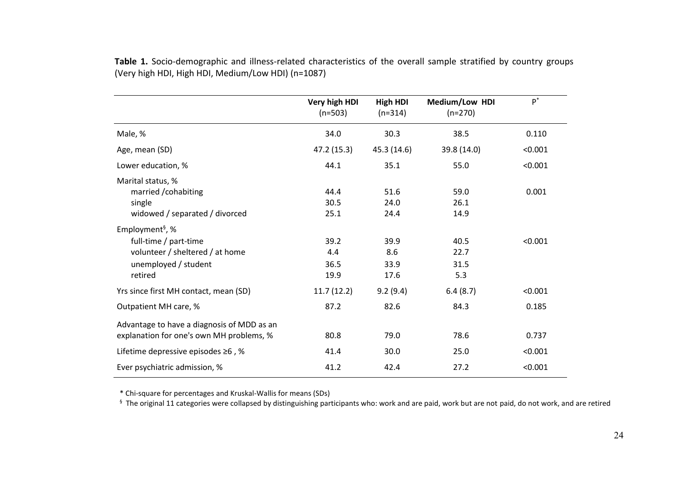|                                                                                                                            | Very high HDI<br>$(n=503)$  | <b>High HDI</b><br>$(n=314)$ | Medium/Low HDI<br>$(n=270)$ | $P^*$   |
|----------------------------------------------------------------------------------------------------------------------------|-----------------------------|------------------------------|-----------------------------|---------|
| Male, %                                                                                                                    | 34.0                        | 30.3                         | 38.5                        | 0.110   |
| Age, mean (SD)                                                                                                             | 47.2 (15.3)                 | 45.3 (14.6)                  | 39.8 (14.0)                 | < 0.001 |
| Lower education, %                                                                                                         | 44.1                        | 35.1                         | 55.0                        | < 0.001 |
| Marital status, %<br>married / cohabiting<br>single<br>widowed / separated / divorced                                      | 44.4<br>30.5<br>25.1        | 51.6<br>24.0<br>24.4         | 59.0<br>26.1<br>14.9        | 0.001   |
| Employment <sup>§</sup> , %<br>full-time / part-time<br>volunteer / sheltered / at home<br>unemployed / student<br>retired | 39.2<br>4.4<br>36.5<br>19.9 | 39.9<br>8.6<br>33.9<br>17.6  | 40.5<br>22.7<br>31.5<br>5.3 | < 0.001 |
| Yrs since first MH contact, mean (SD)                                                                                      | 11.7(12.2)                  | 9.2(9.4)                     | 6.4(8.7)                    | < 0.001 |
| Outpatient MH care, %                                                                                                      | 87.2                        | 82.6                         | 84.3                        | 0.185   |
| Advantage to have a diagnosis of MDD as an<br>explanation for one's own MH problems, %                                     | 80.8                        | 79.0                         | 78.6                        | 0.737   |
| Lifetime depressive episodes $\geq 6$ , %                                                                                  | 41.4                        | 30.0                         | 25.0                        | < 0.001 |
| Ever psychiatric admission, %                                                                                              | 41.2                        | 42.4                         | 27.2                        | < 0.001 |

**Table 1.** Socio-demographic and illness-related characteristics of the overall sample stratified by country groups (Very high HDI, High HDI, Medium/Low HDI) (n=1087)

\* Chi-square for percentages and Kruskal-Wallis for means (SDs)

 $§$  The original 11 categories were collapsed by distinguishing participants who: work and are paid, work but are not paid, do not work, and are retired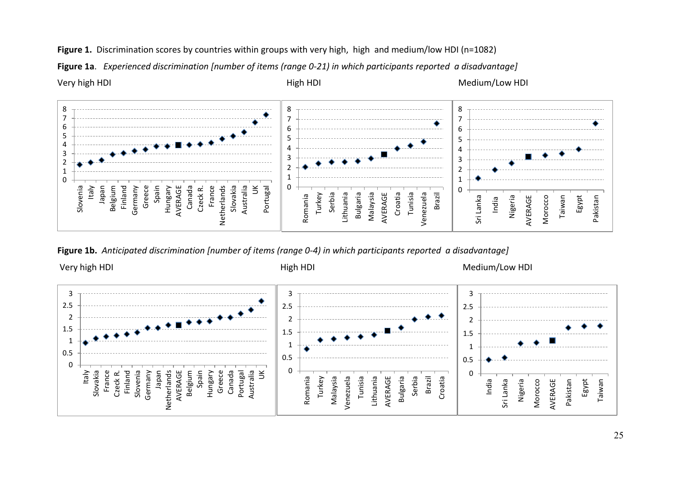

**Figure 1a**. *Experienced discrimination [number of items (range 0-21) in which participants reported a disadvantage]*



**Figure 1b.** *Anticipated discrimination [number of items (range 0-4) in which participants reported a disadvantage]*

Very high HDI Nedium/Low HDI High HDI High HDI Medium/Low HDI

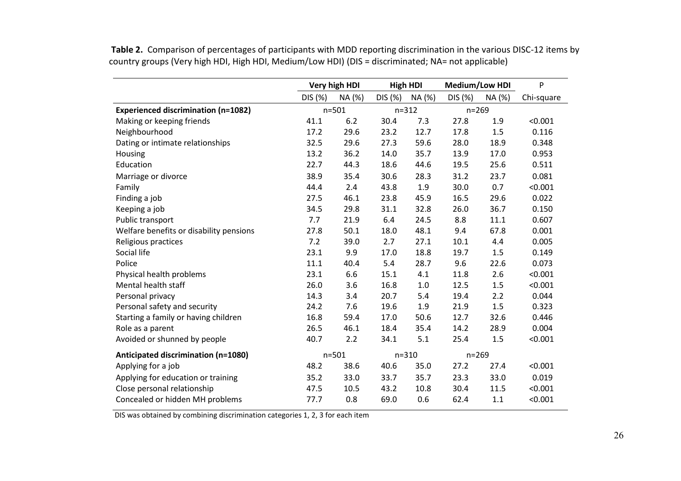**Table 2.** Comparison of percentages of participants with MDD reporting discrimination in the various DISC-12 items by country groups (Very high HDI, High HDI, Medium/Low HDI) (DIS = discriminated; NA= not applicable)

|                                            | Very high HDI |           | <b>High HDI</b> |           | Medium/Low HDI |           | P          |
|--------------------------------------------|---------------|-----------|-----------------|-----------|----------------|-----------|------------|
|                                            | DIS (%)       | NA (%)    | DIS (%)         | NA (%)    | DIS (%)        | NA (%)    | Chi-square |
| <b>Experienced discrimination (n=1082)</b> |               | $n = 501$ |                 | $n = 312$ |                | $n = 269$ |            |
| Making or keeping friends                  | 41.1          | 6.2       | 30.4            | 7.3       | 27.8           | 1.9       | < 0.001    |
| Neighbourhood                              | 17.2          | 29.6      | 23.2            | 12.7      | 17.8           | 1.5       | 0.116      |
| Dating or intimate relationships           | 32.5          | 29.6      | 27.3            | 59.6      | 28.0           | 18.9      | 0.348      |
| Housing                                    | 13.2          | 36.2      | 14.0            | 35.7      | 13.9           | 17.0      | 0.953      |
| Education                                  | 22.7          | 44.3      | 18.6            | 44.6      | 19.5           | 25.6      | 0.511      |
| Marriage or divorce                        | 38.9          | 35.4      | 30.6            | 28.3      | 31.2           | 23.7      | 0.081      |
| Family                                     | 44.4          | 2.4       | 43.8            | 1.9       | 30.0           | 0.7       | < 0.001    |
| Finding a job                              | 27.5          | 46.1      | 23.8            | 45.9      | 16.5           | 29.6      | 0.022      |
| Keeping a job                              | 34.5          | 29.8      | 31.1            | 32.8      | 26.0           | 36.7      | 0.150      |
| Public transport                           | 7.7           | 21.9      | 6.4             | 24.5      | 8.8            | 11.1      | 0.607      |
| Welfare benefits or disability pensions    | 27.8          | 50.1      | 18.0            | 48.1      | 9.4            | 67.8      | 0.001      |
| Religious practices                        | 7.2           | 39.0      | 2.7             | 27.1      | 10.1           | 4.4       | 0.005      |
| Social life                                | 23.1          | 9.9       | 17.0            | 18.8      | 19.7           | 1.5       | 0.149      |
| Police                                     | 11.1          | 40.4      | 5.4             | 28.7      | 9.6            | 22.6      | 0.073      |
| Physical health problems                   | 23.1          | 6.6       | 15.1            | 4.1       | 11.8           | 2.6       | < 0.001    |
| Mental health staff                        | 26.0          | 3.6       | 16.8            | 1.0       | 12.5           | 1.5       | < 0.001    |
| Personal privacy                           | 14.3          | 3.4       | 20.7            | 5.4       | 19.4           | 2.2       | 0.044      |
| Personal safety and security               | 24.2          | 7.6       | 19.6            | 1.9       | 21.9           | 1.5       | 0.323      |
| Starting a family or having children       | 16.8          | 59.4      | 17.0            | 50.6      | 12.7           | 32.6      | 0.446      |
| Role as a parent                           | 26.5          | 46.1      | 18.4            | 35.4      | 14.2           | 28.9      | 0.004      |
| Avoided or shunned by people               | 40.7          | 2.2       | 34.1            | 5.1       | 25.4           | 1.5       | < 0.001    |
| Anticipated discrimination (n=1080)        |               | $n = 501$ |                 | $n = 310$ |                | $n = 269$ |            |
| Applying for a job                         | 48.2          | 38.6      | 40.6            | 35.0      | 27.2           | 27.4      | < 0.001    |
| Applying for education or training         | 35.2          | 33.0      | 33.7            | 35.7      | 23.3           | 33.0      | 0.019      |
| Close personal relationship                | 47.5          | 10.5      | 43.2            | 10.8      | 30.4           | 11.5      | < 0.001    |
| Concealed or hidden MH problems            | 77.7          | 0.8       | 69.0            | 0.6       | 62.4           | 1.1       | < 0.001    |

DIS was obtained by combining discrimination categories 1, 2, 3 for each item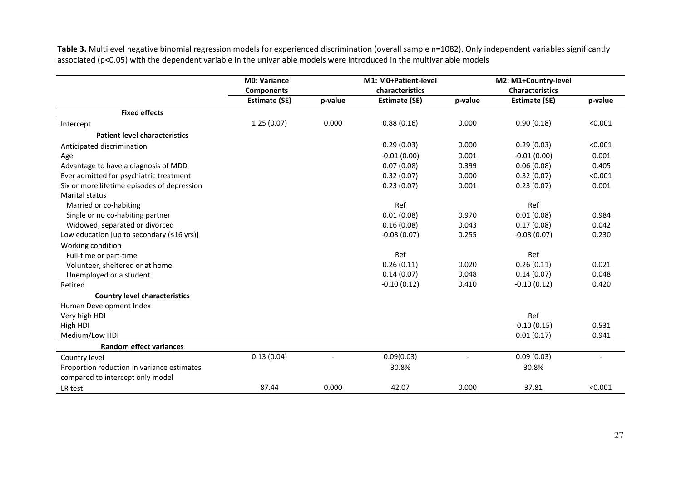Table 3. Multilevel negative binomial regression models for experienced discrimination (overall sample n=1082). Only independent variables significantly associated (p<0.05) with the dependent variable in the univariable models were introduced in the multivariable models

|                                             | <b>M0: Variance</b>  |         | M1: M0+Patient-level |         | M2: M1+Country-level   |         |
|---------------------------------------------|----------------------|---------|----------------------|---------|------------------------|---------|
|                                             | <b>Components</b>    |         | characteristics      |         | <b>Characteristics</b> |         |
|                                             | <b>Estimate (SE)</b> | p-value | <b>Estimate (SE)</b> | p-value | <b>Estimate (SE)</b>   | p-value |
| <b>Fixed effects</b>                        |                      |         |                      |         |                        |         |
| Intercept                                   | 1.25(0.07)           | 0.000   | 0.88(0.16)           | 0.000   | 0.90(0.18)             | < 0.001 |
| <b>Patient level characteristics</b>        |                      |         |                      |         |                        |         |
| Anticipated discrimination                  |                      |         | 0.29(0.03)           | 0.000   | 0.29(0.03)             | < 0.001 |
| Age                                         |                      |         | $-0.01(0.00)$        | 0.001   | $-0.01(0.00)$          | 0.001   |
| Advantage to have a diagnosis of MDD        |                      |         | 0.07(0.08)           | 0.399   | 0.06(0.08)             | 0.405   |
| Ever admitted for psychiatric treatment     |                      |         | 0.32(0.07)           | 0.000   | 0.32(0.07)             | < 0.001 |
| Six or more lifetime episodes of depression |                      |         | 0.23(0.07)           | 0.001   | 0.23(0.07)             | 0.001   |
| Marital status                              |                      |         |                      |         |                        |         |
| Married or co-habiting                      |                      |         | Ref                  |         | Ref                    |         |
| Single or no co-habiting partner            |                      |         | 0.01(0.08)           | 0.970   | 0.01(0.08)             | 0.984   |
| Widowed, separated or divorced              |                      |         | 0.16(0.08)           | 0.043   | 0.17(0.08)             | 0.042   |
| Low education [up to secondary $(≤16$ yrs)] |                      |         | $-0.08(0.07)$        | 0.255   | $-0.08(0.07)$          | 0.230   |
| Working condition                           |                      |         |                      |         |                        |         |
| Full-time or part-time                      |                      |         | Ref                  |         | Ref                    |         |
| Volunteer, sheltered or at home             |                      |         | 0.26(0.11)           | 0.020   | 0.26(0.11)             | 0.021   |
| Unemployed or a student                     |                      |         | 0.14(0.07)           | 0.048   | 0.14(0.07)             | 0.048   |
| Retired                                     |                      |         | $-0.10(0.12)$        | 0.410   | $-0.10(0.12)$          | 0.420   |
| <b>Country level characteristics</b>        |                      |         |                      |         |                        |         |
| Human Development Index                     |                      |         |                      |         |                        |         |
| Very high HDI                               |                      |         |                      |         | Ref                    |         |
| High HDI                                    |                      |         |                      |         | $-0.10(0.15)$          | 0.531   |
| Medium/Low HDI                              |                      |         |                      |         | 0.01(0.17)             | 0.941   |
| <b>Random effect variances</b>              |                      |         |                      |         |                        |         |
| Country level                               | 0.13(0.04)           |         | 0.09(0.03)           |         | 0.09(0.03)             |         |
| Proportion reduction in variance estimates  |                      |         | 30.8%                |         | 30.8%                  |         |
| compared to intercept only model            |                      |         |                      |         |                        |         |
| LR test                                     | 87.44                | 0.000   | 42.07                | 0.000   | 37.81                  | < 0.001 |